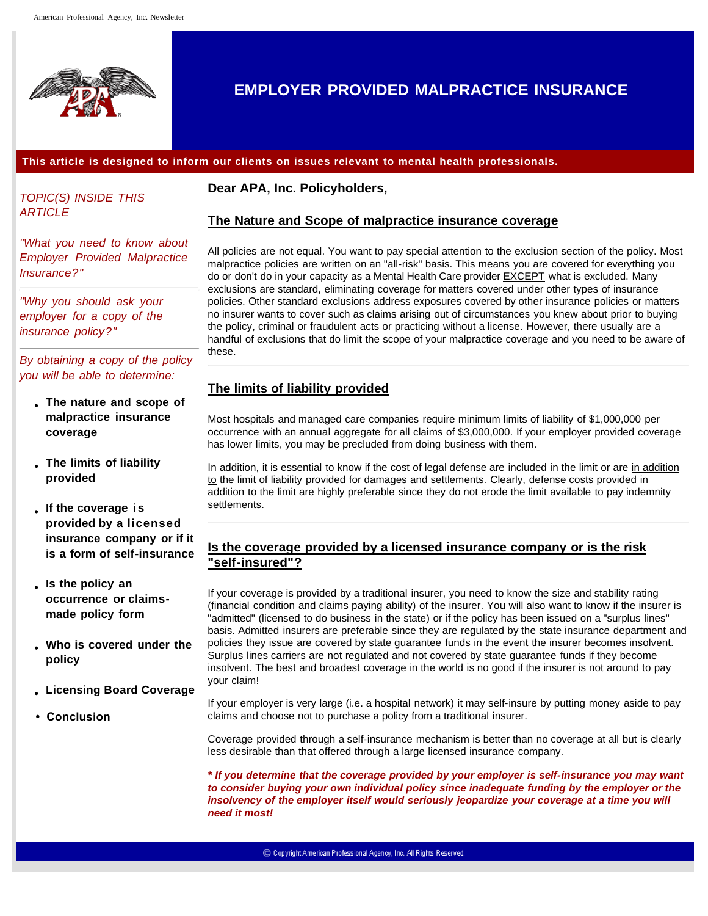

# **EMPLOYER PROVIDED MALPRACTICE INSURANCE**

#### **This article is designed to inform our clients on issues relevant to mental health professionals.**

*TOPIC(S) INSIDE THIS ARTICLE*

*"What you need to know about Employer Provided Malpractice Insurance?"*

*"Why you should ask your employer for a copy of the insurance policy?"*

*By obtaining a copy of the policy you will be able to determine:*

- **The nature and scope of malpractice insurance coverage**
- **The limits of liability provided**

**If the coverage is provided by a licensed insurance company or if it is a form of self-insurance**

- **Is the policy an occurrence or claimsmade policy form**
- **Who is covered under the policy**
- **Licensing Board Coverage**
- **Conclusion**

#### **Dear APA, Inc. Policyholders,**

#### **The Nature and Scope of malpractice insurance coverage**

All policies are not equal. You want to pay special attention to the exclusion section of the policy. Most malpractice policies are written on an "all-risk" basis. This means you are covered for everything you do or don't do in your capacity as a Mental Health Care provider EXCEPT what is excluded. Many exclusions are standard, eliminating coverage for matters covered under other types of insurance policies. Other standard exclusions address exposures covered by other insurance policies or matters no insurer wants to cover such as claims arising out of circumstances you knew about prior to buying the policy, criminal or fraudulent acts or practicing without a license. However, there usually are a handful of exclusions that do limit the scope of your malpractice coverage and you need to be aware of these.

### **The limits of liability provided**

Most hospitals and managed care companies require minimum limits of liability of \$1,000,000 per occurrence with an annual aggregate for all claims of \$3,000,000. If your employer provided coverage has lower limits, you may be precluded from doing business with them.

In addition, it is essential to know if the cost of legal defense are included in the limit or are in addition to the limit of liability provided for damages and settlements. Clearly, defense costs provided in addition to the limit are highly preferable since they do not erode the limit available to pay indemnity settlements.

#### **Is the coverage provided by a licensed insurance company or is the risk "self-insured"?**

If your coverage is provided by a traditional insurer, you need to know the size and stability rating (financial condition and claims paying ability) of the insurer. You will also want to know if the insurer is "admitted" (licensed to do business in the state) or if the policy has been issued on a "surplus lines" basis. Admitted insurers are preferable since they are regulated by the state insurance department and policies they issue are covered by state guarantee funds in the event the insurer becomes insolvent. Surplus lines carriers are not regulated and not covered by state guarantee funds if they become insolvent. The best and broadest coverage in the world is no good if the insurer is not around to pay your claim!

If your employer is very large (i.e. a hospital network) it may self-insure by putting money aside to pay claims and choose not to purchase a policy from a traditional insurer.

Coverage provided through a self-insurance mechanism is better than no coverage at all but is clearly less desirable than that offered through a large licensed insurance company.

*\* If you determine that the coverage provided by your employer is self-insurance you may want to consider buying your own individual policy since inadequate funding by the employer or the insolvency of the employer itself would seriously jeopardize your coverage at a time you will need it most!*